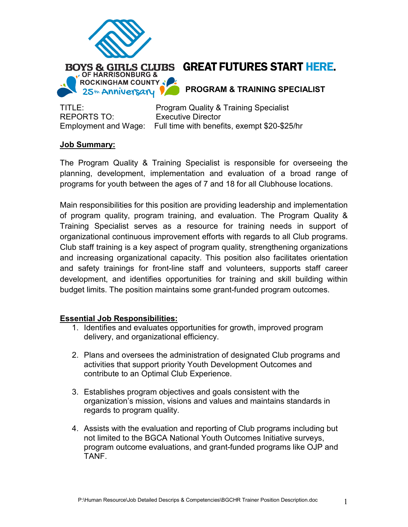

# BOYS & GIRLS CLUBS GREAT FUTURES START HERE.

**PROGRAM & TRAINING SPECIALIST**

REPORTS TO: Executive Director

TITLE: Program Quality & Training Specialist Employment and Wage: Full time with benefits, exempt \$20-\$25/hr

# **Job Summary:**

The Program Quality & Training Specialist is responsible for overseeing the planning, development, implementation and evaluation of a broad range of programs for youth between the ages of 7 and 18 for all Clubhouse locations.

Main responsibilities for this position are providing leadership and implementation of program quality, program training, and evaluation. The Program Quality & Training Specialist serves as a resource for training needs in support of organizational continuous improvement efforts with regards to all Club programs. Club staff training is a key aspect of program quality, strengthening organizations and increasing organizational capacity. This position also facilitates orientation and safety trainings for front-line staff and volunteers, supports staff career development, and identifies opportunities for training and skill building within budget limits. The position maintains some grant-funded program outcomes.

# **Essential Job Responsibilities:**

- 1. Identifies and evaluates opportunities for growth, improved program delivery, and organizational efficiency.
- 2. Plans and oversees the administration of designated Club programs and activities that support priority Youth Development Outcomes and contribute to an Optimal Club Experience.
- 3. Establishes program objectives and goals consistent with the organization's mission, visions and values and maintains standards in regards to program quality.
- 4. Assists with the evaluation and reporting of Club programs including but not limited to the BGCA National Youth Outcomes Initiative surveys, program outcome evaluations, and grant-funded programs like OJP and TANF.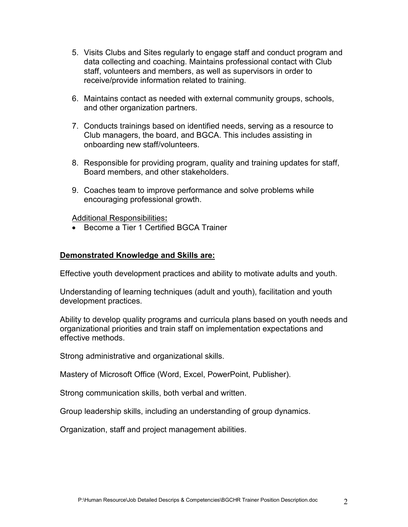- 5. Visits Clubs and Sites regularly to engage staff and conduct program and data collecting and coaching. Maintains professional contact with Club staff, volunteers and members, as well as supervisors in order to receive/provide information related to training.
- 6. Maintains contact as needed with external community groups, schools, and other organization partners.
- 7. Conducts trainings based on identified needs, serving as a resource to Club managers, the board, and BGCA. This includes assisting in onboarding new staff/volunteers.
- 8. Responsible for providing program, quality and training updates for staff, Board members, and other stakeholders.
- 9. Coaches team to improve performance and solve problems while encouraging professional growth.

Additional Responsibilities**:**

• Become a Tier 1 Certified BGCA Trainer

## **Demonstrated Knowledge and Skills are:**

Effective youth development practices and ability to motivate adults and youth.

Understanding of learning techniques (adult and youth), facilitation and youth development practices.

Ability to develop quality programs and curricula plans based on youth needs and organizational priorities and train staff on implementation expectations and effective methods.

Strong administrative and organizational skills.

Mastery of Microsoft Office (Word, Excel, PowerPoint, Publisher).

Strong communication skills, both verbal and written.

Group leadership skills, including an understanding of group dynamics.

Organization, staff and project management abilities.